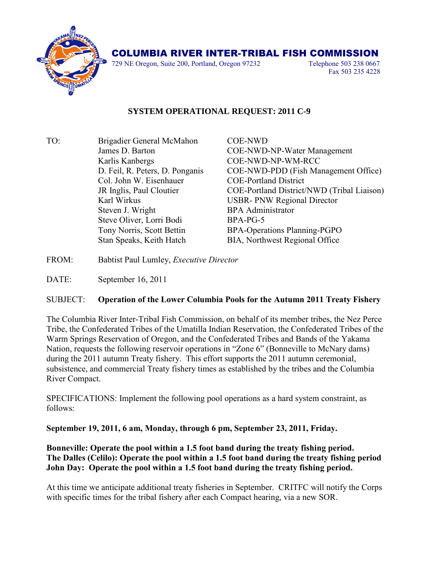

## COLUMBIA RIVER INTER-TRIBAL FISH COMMISSION

729 NE Oregon, Suite 200, Portland, Oregon 97232 Telephone 503 238 0667

Fax 503 235 4228

## **SYSTEM OPERATIONAL REQUEST: 2011 C-9**

TO: Brigadier General McMahon COE-NWD Karlis Kanbergs COE-NWD-NP-WM-RCC Col. John W. Eisenhauer COE-Portland District Steven J. Wright BPA Administrator Steve Oliver, Lorri Bodi BPA-PG-5 Stan Speaks, Keith Hatch BIA, Northwest Regional Office

James D. Barton COE-NWD-NP-Water Management D. Feil, R. Peters, D. Ponganis COE-NWD-PDD (Fish Management Office) JR Inglis, Paul Cloutier COE-Portland District/NWD (Tribal Liaison) Karl Wirkus USBR- PNW Regional Director Tony Norris, Scott Bettin BPA-Operations Planning-PGPO

- FROM: Babtist Paul Lumley, *Executive Director*
- DATE: September 16, 2011

## SUBJECT: **Operation of the Lower Columbia Pools for the Autumn 2011 Treaty Fishery**

The Columbia River Inter-Tribal Fish Commission, on behalf of its member tribes, the Nez Perce Tribe, the Confederated Tribes of the Umatilla Indian Reservation, the Confederated Tribes of the Warm Springs Reservation of Oregon, and the Confederated Tribes and Bands of the Yakama Nation, requests the following reservoir operations in "Zone 6" (Bonneville to McNary dams) during the 2011 autumn Treaty fishery. This effort supports the 2011 autumn ceremonial, subsistence, and commercial Treaty fishery times as established by the tribes and the Columbia River Compact.

SPECIFICATIONS: Implement the following pool operations as a hard system constraint, as follows:

**September 19, 2011, 6 am, Monday, through 6 pm, September 23, 2011, Friday.**

**Bonneville: Operate the pool within a 1.5 foot band during the treaty fishing period. The Dalles (Celilo): Operate the pool within a 1.5 foot band during the treaty fishing period John Day: Operate the pool within a 1.5 foot band during the treaty fishing period.**

At this time we anticipate additional treaty fisheries in September. CRITFC will notify the Corps with specific times for the tribal fishery after each Compact hearing, via a new SOR.